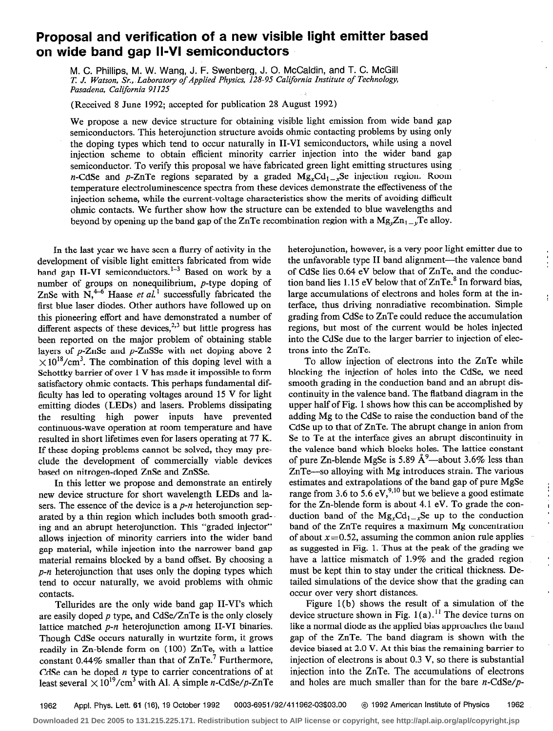## Proposal and verification of a new visible light emitter based on wide band gap II-VI semiconductors

M. C. Phillips, M. W. Wang, J. F. Swenberg, J. 0. McCaldin, and T. C. McGill T. J. Watson, Sr., Laboratory of Applied Physics, 128-95 California Institute of Technology, Pasadena, California 91125

(Received 8 June 1992; accepted for publication 28 August 1992)

We propose a new device structure for obtaining visible light emission from wide band gap semiconductors. This heterojunction structure avoids ohmic contacting problems by using only the doping types which tend to occur naturally in II-VI semiconductors, while using a novel injection scheme to obtain efficient minority carrier injection into the wider band gap semiconductor. To verify this proposal we have fabricated green light emitting structures using n-CdSe and p-ZnTe regions separated by a graded  $Mg_xCd_{1-x}Se$  injection region. Room temperature electroluminescence spectra from these devices demonstrate the effectiveness of the injection scheme, while the current-voltage characteristics show the merits of avoiding difficult ohmic contacts. We further show how the structure can be extended to blue wavelengths and beyond by opening up the band gap of the ZnTe recombination region with a  $Mg_{\nu}Zn_{1-\nu}Te$  alloy.

In the last year we have seen a flurry of activity in the development of visible light emitters fabricated from wide band gap II-VI semiconductors.<sup>1-3</sup> Based on work by a number of groups on nonequilibrium, p-type doping of ZnSe with  $N_{\rm t}^{4-6}$  Haase *et al.*<sup>1</sup> successfully fabricated the first blue laser diodes. Other authors have followed up on this pioneering effort and have demonstrated a number of different aspects of these devices, $2,3$  but little progress has been reported on the major problem of obtaining stable layers of p-ZnSe and p-ZnSSe with net doping above 2  $\times 10^{18}/\text{cm}^3$ . The combination of this doping level with a Schottky barrier of over 1 V has made it impossible to form satisfactory ohmic contacts. This perhaps fundamental difficulty has led to operating voltages around 15 V for light emitting diodes (LEDs) and lasers. Problems dissipating the resulting high power inputs have prevented continuous-wave operation at room temperature and have resulted in short lifetimes even for lasers operating at 77 K. If these doping problems cannot be solved, they may preclude the development of commercially viable devices based on nitrogen-doped ZnSe and ZnSSe.

In this letter we propose and demonstrate an entirely new device structure for short wavelength LEDs and lasers. The essence of the device is a  $p-n$  heterojunction separated by a thin region which includes both smooth grading and an abrupt heterojunction. This "graded injector" allows injection of minority carriers into the wider band gap material, while injection into the narrower band gap material remains blocked by a band offset. By choosing a  $p$ -n heterojunction that uses only the doping types which tend to occur naturally, we avoid problems with ohmic contacts.

are easily doped p type, and CdSe/ZnTe is the only closely device structure shown in Fig.  $1(a)$ .<sup>11</sup> The device turns on lattice matched  $p$ -n heteroiunction among II-VI binaries. like a normal diode as the applied bias a lattice matched  $p$ -n heterojunction among II-VI binaries. Though CdSe occurs naturally in wurtzite form, it grows gap of the ZnTe. The band diagram is shown with the readily in Zn-blende form on (100) ZnTe, with a lattice device biased at 2.0 V. At this bias the remaining barrier to constant 0.44% smaller than that of  $ZnTe<sup>7</sup>$  Furthermore, injection of electrons is about 0.3 V, so there is substantial CdSe can be doped *n* type to carrier concentrations of at injection into the ZnTe. The accumulations of electrons least several  $\times 10^{19}/\text{cm}^3$  with Al. A simple n-CdSe/p-ZnTe and holes are much smaller than for the bare n-CdSe/p-

heterojunction, however, is a very poor light emitter due to the unfavorable type II band alignment-the valence band of CdSe lies 0.64 eV below that of ZnTe, and the conduction band lies 1.15 eV below that of  $ZnTe<sup>8</sup>$  In forward bias, large accumulations of electrons and holes form at the interface, thus driving nonradiative recombination. Simple grading from CdSe to ZnTe could reduce the accumulation regions, but most of the current would be holes injected into the CdSe due to the larger barrier to injection of electrons into the ZnTe.

To allow injection of electrons into the ZnTe while blocking the injection of holes into the CdSe, we need smooth grading in the conduction band and an abrupt discontinuity in the valence band. The flatband diagram in the upper half of Fig. 1 shows how this can be accomplished by adding Mg to the CdSe to raise the conduction band of the CdSe up to that of ZnTe. The abrupt change in anion from Se to Te at the interface gives an abrupt discontinuity in the valence band which blocks holes. The lattice constant of pure Zn-blende MgSe is 5.89  $\AA^9$ —about 3.6% less than ZnTe-so alloying with Mg introduces strain. The various estimates and extrapolations of the band gap of pure MgSe range from 3.6 to 5.6 eV,<sup>9,10</sup> but we believe a good estimate for the Zn-blende form is about 4.1 eV. To grade the conduction band of the  $Mg_xCd_{1-x}Se$  up to the conduction band of the ZnTe requires a maximum Mg concentration of about  $x=0.52$ , assuming the common anion rule applies as suggested in Fig. 1. Thus at the peak of the grading we have a lattice mismatch of 1.9% and the graded region must be kept thin to stay under the critical thickness. Detailed simulations of the device show that the grading can

 $\mathbf{I}$ 

occur over very short distances.<br>Figure 1(b) shows the result of a simulation of the Tellurides are the only wide band gap II-VI's which Figure 1(b) shows the result of a simulation of the result of a simulation of the result of a simulation of the result of a simulation of the result of a simulation of t

1962 Appl. Phys. Lett. 61 (16), 19 October 1992 0003-6951/92/411962-03\$03.00 @ 1992 American institute of Physics 1962

**Downloaded 21 Dec 2005 to 131.215.225.171. Redistribution subject to AIP license or copyright, see http://apl.aip.org/apl/copyright.jsp**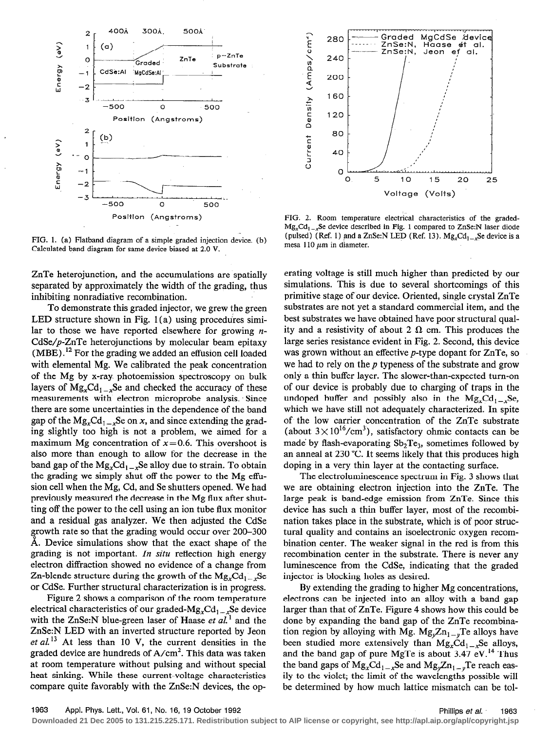

FIG. 1. (a) Flatband diagram of a simple graded injection device. (b) Calculated band diagram for same device biased at 2.0 V.

ZnTe heterojunction, and the accumulations are spatially separated by approximately the width of the grading, thus inhibiting nonradiative recombination.

To demonstrate this graded injector, we grew the green LED structure shown in Fig. 1 (a) using procedures similar to those we have reported elsewhere for growing  $n-$ CdSe/p-ZnTe heterojunctions by molecular beam epitaxy  $(MBE)$ .<sup>12</sup> For the grading we added an effusion cell loaded with elemental Mg. We calibrated the peak concentration of the Mg by x-ray. photoemission spectroscopy on bulk layers of  $Mg_xCd_{1-x}Se$  and checked the accuracy of these measurements with electron microprobe analysis. Since there are some uncertainties in the dependence of the band gap of the  $Mg_xCd_{1-x}Se$  on x, and since extending the grading slightly too high is not a problem, we aimed for a maximum Mg concentration of  $x=0.6$ . This overshoot is also more than enough to allow for the decrease in the band gap of the  $Mg_{x}Cd_{1-x}Se$  alloy due to strain. To obtain the grading we simply shut off the power to the Mg effusion cell when the Mg, Cd, and Se shutters opened. We had previously measured the decrease in the Mg flux after shutting off the power to the cell using an ion tube flux monitor and a residual gas analyzer. We then adjusted the CdSe growth rate so that the grading would occur over 200-300 A. Device simulations show that the exact shape of the grading is not important. In situ reflection high energy electron diffraction showed no evidence of a change from Zn-blende structure during the growth of the  $Mg_xCd_{1-x}Se$ or CdSe. Further structural characterization is in progress.

Figure 2 shows a comparison of the room temperature electrical characteristics of our graded- $Mg_xCd_{1-x}Se$  device with the ZnSe:N blue-green laser of Haase et  $al<sup>1</sup>$  and the ZnSe:N LED with an inverted structure reported by Jeon et  $al^{13}$  At less than 10 V, the current densities in the graded device are hundreds of  $A/cm<sup>2</sup>$ . This data was taken at room temperature without pulsing and without special heat sinking. While these current-voltage characteristics compare quite favorably with the ZnSe:N devices, the op-



FIG. 2. Room temperature electrical characteristics of the graded- $Mg<sub>x</sub>Cd<sub>1</sub>$ , Se device described in Fig. 1 compared to ZnSe:N laser diode (pulsed) (Ref. 1) and a ZnSe:N LED (Ref. 13).  $Mg_xCd_{1-x}Se$  device is a mesa 110  $\mu$ m in diameter.

erating voltage is still much higher than predicted by our simulations. This is due to several shortcomings of this primitive stage of our device. Oriented, single crystal ZnTe substrates are not yet a standard commercial item, and the best substrates we have obtained have poor structural quality and a resistivity of about 2  $\Omega$  cm. This produces the large series resistance evident in Fig. 2. Second, this device was grown without an effective p-type dopant for ZnTe, so we had to rely on the  $p$  typeness of the substrate and grow only a thin buffer layer. The slower-than-expected turn-on of our device is probably due to charging of traps in the undoped buffer and possibly also in the  $Mg_xCd_{1-x}Se$ , which we have still not adequately characterized. In spite of the low carrier concentration of the ZnTe substrate (about  $3 \times 10^{16}$ /cm<sup>3</sup>), satisfactory ohmic contacts can be made by flash-evaporating  $Sb<sub>2</sub>Te<sub>3</sub>$ , sometimes followed by an anneal at 230 "C. It seems likely that this produces high doping in a very thin layer at the contacting surface.

The electroluminescence spectrum in Fig. 3 shows that we are obtaining electron injection into the ZnTe. The large peak is band-edge emission from ZnTe. Since this device has such a thin buffer layer, most of the recombination takes place in the substrate, which is of poor structural quality and contains an isoelectronic oxygen recombination center. The weaker signal in the red is from this recombination center in the substrate. There is never any luminescence from the CdSe, indicating that the graded injector is blocking holes as desired.

By extending the grading to higher Mg concentrations, electrons can be injected into an alloy with a band gap larger than that of ZnTe. Figure 4 shows how this could be done by expanding the band gap of the ZnTe recombination region by alloying with Mg.  $Mg_{\nu}Zn_{1-\nu}Te$  alloys have been studied more extensively than  $Mg<sub>x</sub>Cd<sub>1-x</sub>Se$  alloys, and the band gap of pure MgTe is about 3.47 eV.<sup>14</sup> Thus the band gaps of  $Mg_xCd_{1-x}Se$  and  $Mg_yZn_{1-y}Te$  reach easily to the violet; the limit of the wavelengths possible will be determined by how much lattice mismatch can be tol-

**Downloaded 21 Dec 2005 to 131.215.225.171. Redistribution subject to AIP license or copyright, see http://apl.aip.org/apl/copyright.jsp**